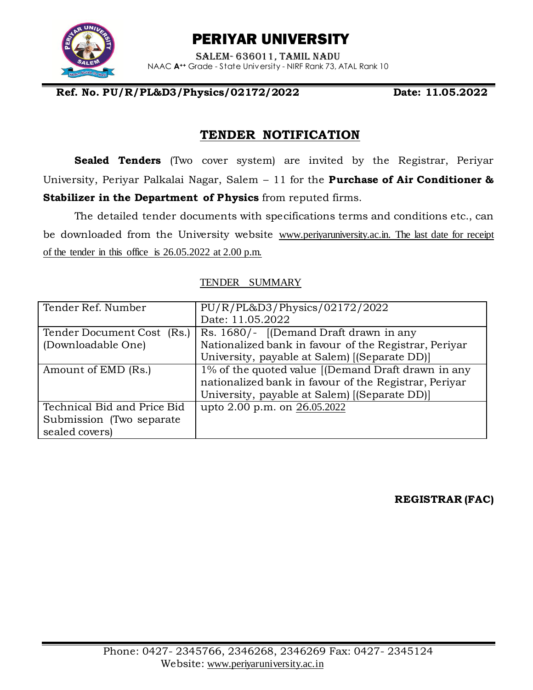

# PERIYAR UNIVERSITY

Salem- 636011, Tamil Nadu NAAC **A++** Grade - State University - NIRF Rank 73, ATAL Rank 10

#### **Ref. No. PU/R/PL&D3/Physics/02172/2022 Date: 11.05.2022**

## **TENDER NOTIFICATION**

**Sealed Tenders** (Two cover system) are invited by the Registrar, Periyar University, Periyar Palkalai Nagar, Salem – 11 for the **Purchase of Air Conditioner & Stabilizer in the Department of Physics** from reputed firms.

The detailed tender documents with specifications terms and conditions etc., can be downloaded from the University website [www.periyaruniversity.ac.in.](http://www.periyaruniversity.ac.in/) The last date for receipt of the tender in this office is 26.05.2022 at 2.00 p.m.

| Tender Ref. Number          | PU/R/PL&D3/Physics/02172/2022                         |  |  |  |
|-----------------------------|-------------------------------------------------------|--|--|--|
|                             | Date: 11.05.2022                                      |  |  |  |
| Tender Document Cost (Rs.)  | Rs. 1680/- [(Demand Draft drawn in any                |  |  |  |
| (Downloadable One)          | Nationalized bank in favour of the Registrar, Periyar |  |  |  |
|                             | University, payable at Salem) [(Separate DD)]         |  |  |  |
| Amount of EMD (Rs.)         | 1% of the quoted value [(Demand Draft drawn in any    |  |  |  |
|                             | nationalized bank in favour of the Registrar, Periyar |  |  |  |
|                             | University, payable at Salem) [(Separate DD)]         |  |  |  |
| Technical Bid and Price Bid | upto 2.00 p.m. on 26.05.2022                          |  |  |  |
| Submission (Two separate)   |                                                       |  |  |  |
| sealed covers)              |                                                       |  |  |  |

#### TENDER SUMMARY

**REGISTRAR (FAC)**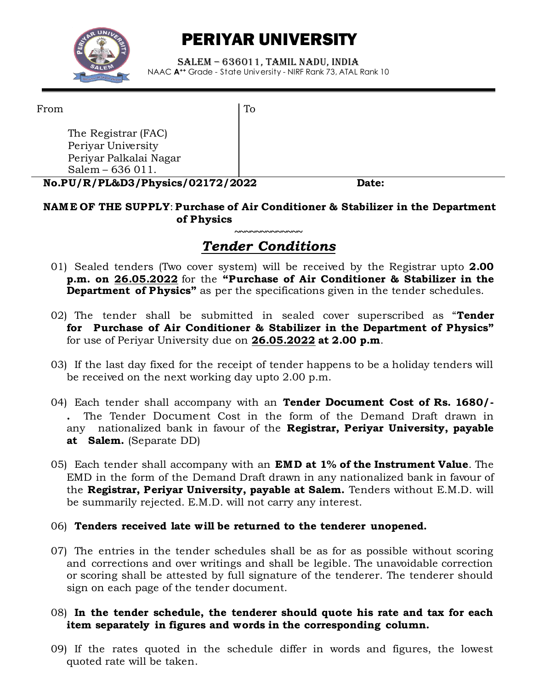

# PERIYAR UNIVERSITY

Salem – 636011, Tamil Nadu, India NAAC **A++** Grade - State University - NIRF Rank 73, ATAL Rank 10

From

To

The Registrar (FAC) Periyar University Periyar Palkalai Nagar Salem – 636 011.

**No.PU/R/PL&D3/Physics/02172/2022 Date:**

#### **NAM E OF THE SUPPLY**: **Purchase of Air Conditioner & Stabilizer in the Department of Physics**

#### **~~~~~~~~~~~~~** *Tender Conditions*

- 01) Sealed tenders (Two cover system) will be received by the Registrar upto **2.00 p.m. on 26.05.2022** for the **"Purchase of Air Conditioner & Stabilizer in the Department of Physics"** as per the specifications given in the tender schedules.
- 02) The tender shall be submitted in sealed cover superscribed as "**Tender for Purchase of Air Conditioner & Stabilizer in the Department of Physics"**  for use of Periyar University due on **26.05.2022 at 2.00 p.m**.
- 03) If the last day fixed for the receipt of tender happens to be a holiday tenders will be received on the next working day upto 2.00 p.m.
- 04) Each tender shall accompany with an **Tender Document Cost of Rs. 1680/- .** The Tender Document Cost in the form of the Demand Draft drawn in any nationalized bank in favour of the **Registrar, Periyar University, payable at Salem.** (Separate DD)
- 05) Each tender shall accompany with an **EMD at 1% of the Instrument Value**. The EMD in the form of the Demand Draft drawn in any nationalized bank in favour of the **Registrar, Periyar University, payable at Salem.** Tenders without E.M.D. will be summarily rejected. E.M.D. will not carry any interest.

#### 06) **Tenders received late will be returned to the tenderer unopened.**

07) The entries in the tender schedules shall be as for as possible without scoring and corrections and over writings and shall be legible. The unavoidable correction or scoring shall be attested by full signature of the tenderer. The tenderer should sign on each page of the tender document.

#### 08) **In the tender schedule, the tenderer should quote his rate and tax for each item separately in figures and words in the corresponding column.**

09) If the rates quoted in the schedule differ in words and figures, the lowest quoted rate will be taken.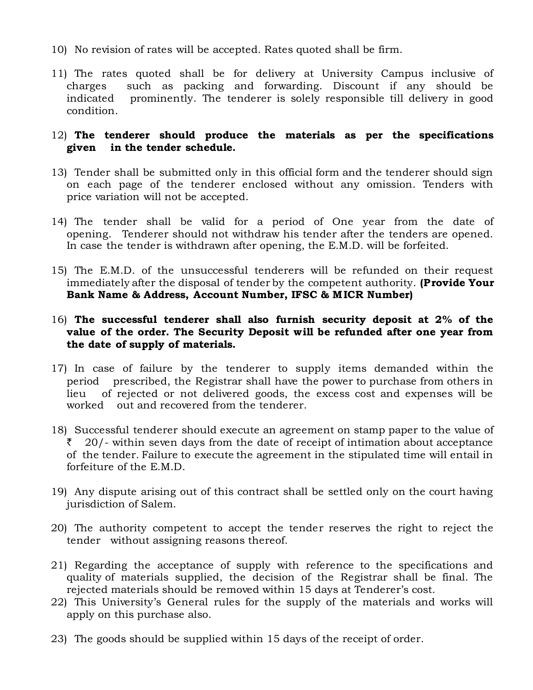- 10) No revision of rates will be accepted. Rates quoted shall be firm.
- 11) The rates quoted shall be for delivery at University Campus inclusive of charges such as packing and forwarding. Discount if any should be indicated prominently. The tenderer is solely responsible till delivery in good condition.

#### 12) **The tenderer should produce the materials as per the specifications given in the tender schedule.**

- 13) Tender shall be submitted only in this official form and the tenderer should sign on each page of the tenderer enclosed without any omission. Tenders with price variation will not be accepted.
- 14) The tender shall be valid for a period of One year from the date of opening. Tenderer should not withdraw his tender after the tenders are opened. In case the tender is withdrawn after opening, the E.M.D. will be forfeited.
- 15) The E.M.D. of the unsuccessful tenderers will be refunded on their request immediately after the disposal of tender by the competent authority. **(Provide Your Bank Name & Address, Account Number, IFSC & M ICR Number)**

#### 16) **The successful tenderer shall also furnish security deposit at 2% of the value of the order. The Security Deposit will be refunded after one year from the date of supply of materials.**

- 17) In case of failure by the tenderer to supply items demanded within the period prescribed, the Registrar shall have the power to purchase from others in lieu of rejected or not delivered goods, the excess cost and expenses will be worked out and recovered from the tenderer.
- 18) Successful tenderer should execute an agreement on stamp paper to the value of  $\bar{z}$  20/- within seven days from the date of receipt of intimation about acceptance of the tender. Failure to execute the agreement in the stipulated time will entail in forfeiture of the E.M.D.
- 19) Any dispute arising out of this contract shall be settled only on the court having jurisdiction of Salem.
- 20) The authority competent to accept the tender reserves the right to reject the tender without assigning reasons thereof.
- 21) Regarding the acceptance of supply with reference to the specifications and quality of materials supplied, the decision of the Registrar shall be final. The rejected materials should be removed within 15 days at Tenderer's cost.
- 22) This University's General rules for the supply of the materials and works will apply on this purchase also.
- 23) The goods should be supplied within 15 days of the receipt of order.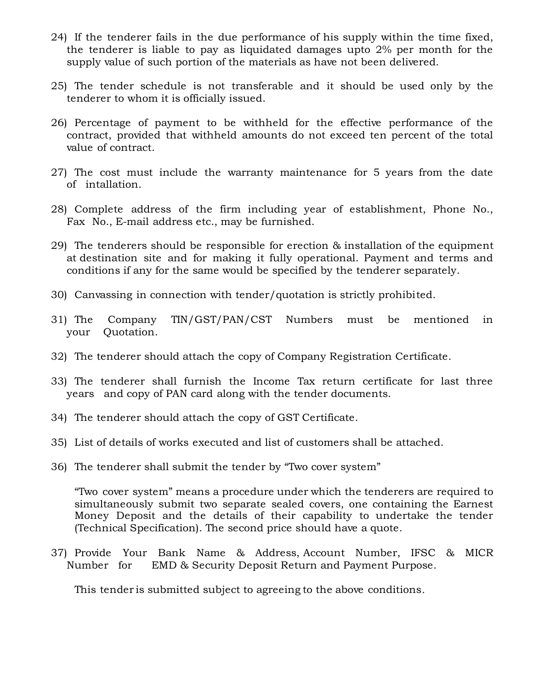- 24) If the tenderer fails in the due performance of his supply within the time fixed, the tenderer is liable to pay as liquidated damages upto 2% per month for the supply value of such portion of the materials as have not been delivered.
- 25) The tender schedule is not transferable and it should be used only by the tenderer to whom it is officially issued.
- 26) Percentage of payment to be withheld for the effective performance of the contract, provided that withheld amounts do not exceed ten percent of the total value of contract.
- 27) The cost must include the warranty maintenance for 5 years from the date of intallation.
- 28) Complete address of the firm including year of establishment, Phone No., Fax No., E-mail address etc., may be furnished.
- 29) The tenderers should be responsible for erection & installation of the equipment at destination site and for making it fully operational. Payment and terms and conditions if any for the same would be specified by the tenderer separately.
- 30) Canvassing in connection with tender/quotation is strictly prohibited.
- 31) The Company TIN/GST/PAN/CST Numbers must be mentioned in your Quotation.
- 32) The tenderer should attach the copy of Company Registration Certificate.
- 33) The tenderer shall furnish the Income Tax return certificate for last three years and copy of PAN card along with the tender documents.
- 34) The tenderer should attach the copy of GST Certificate.
- 35) List of details of works executed and list of customers shall be attached.
- 36) The tenderer shall submit the tender by "Two cover system"

"Two cover system" means a procedure under which the tenderers are required to simultaneously submit two separate sealed covers, one containing the Earnest Money Deposit and the details of their capability to undertake the tender (Technical Specification). The second price should have a quote.

37) Provide Your Bank Name & Address, Account Number, IFSC & MICR Number for EMD & Security Deposit Return and Payment Purpose.

This tender is submitted subject to agreeing to the above conditions.